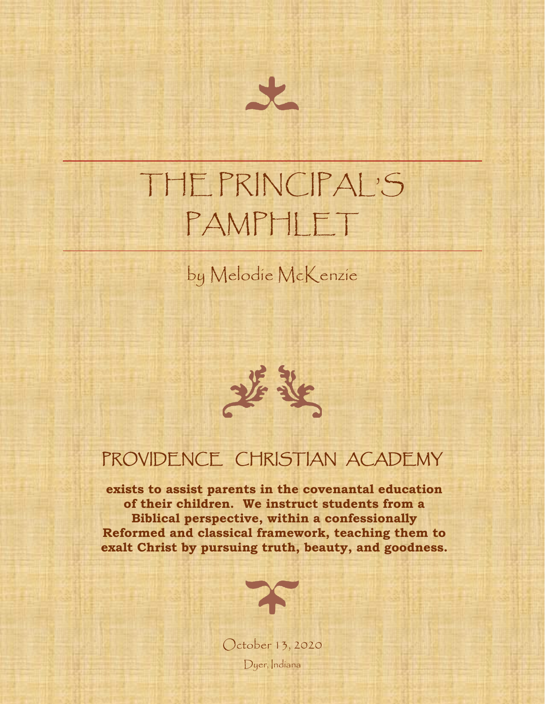

# THE PRINCIPAL'S PAMPHLET

#### by Melodie McKenzie

#### PROVIDENCE CHRISTIAN ACADEMY

**exists to assist parents in the covenantal education of their children. We instruct students from a Biblical perspective, within a confessionally Reformed and classical framework, teaching them to exalt Christ by pursuing truth, beauty, and goodness.**



October 13, 2020 Dyer, Indiana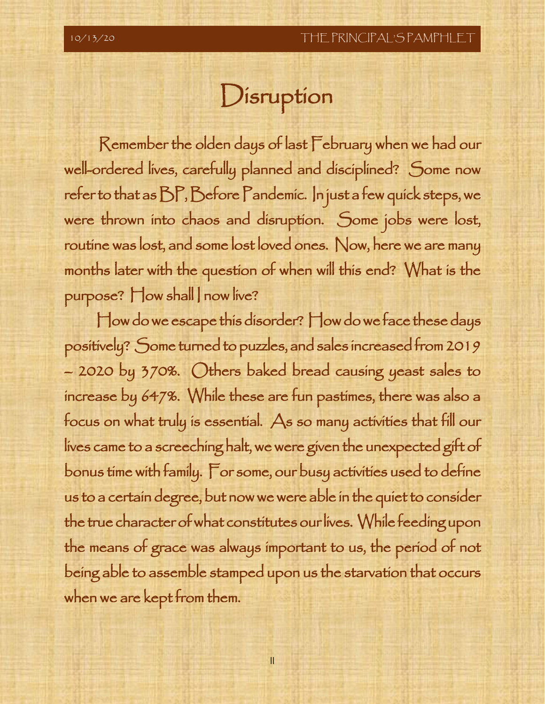## Disruption

 Remember the olden days of last February when we had our well-ordered lives, carefully planned and disciplined? Some now refer to that as BP, Before Pandemic. In just a few quick steps, we were thrown into chaos and disruption. Some jobs were lost, routine was lost, and some lost loved ones. Now, here we are many months later with the question of when will this end? What is the purpose? How shall | now live?

How do we escape this disorder? How do we face these days positively? Some turned to puzzles, and sales increased from 2019 – 2020 by 370%. Others baked bread causing yeast sales to increase by 647%. While these are fun pastimes, there was also a focus on what truly is essential. As so many activities that fill our lives came to a screeching halt, we were given the unexpected gift of bonus time with family. For some, our busy activities used to define us to a certain degree, but now we were able in the quiet to consider the true character of what constitutes our lives. While feeding upon the means of grace was always important to us, the period of not being able to assemble stamped upon us the starvation that occurs when we are kept from them.

II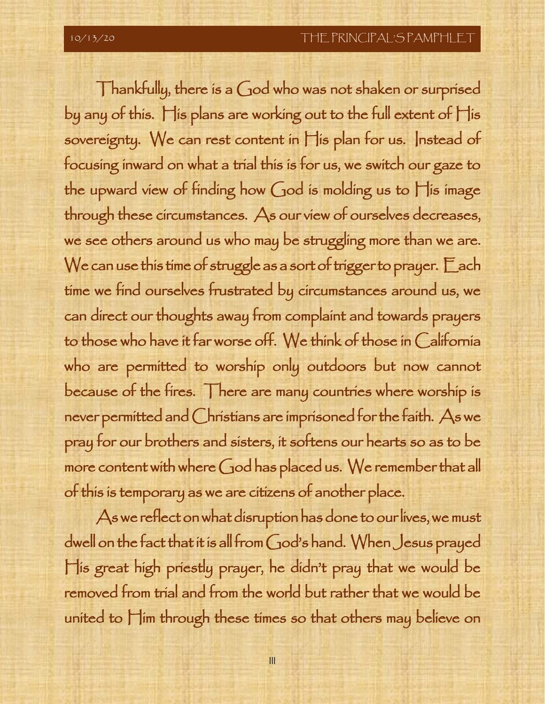Thankfully, there is a God who was not shaken or surprised by any of this. His plans are working out to the full extent of His sovereignty. We can rest content in  $\prod$ is plan for us. Instead of focusing inward on what a trial this is for us, we switch our gaze to the upward view of finding how God is molding us to His image through these circumstances. As our view of ourselves decreases, we see others around us who may be struggling more than we are. We can use this time of struggle as a sort of trigger to prayer.  $\Box$  ach time we find ourselves frustrated by circumstances around us, we can direct our thoughts away from complaint and towards prayers to those who have it far worse off. We think of those in California who are permitted to worship only outdoors but now cannot because of the fires. There are many countries where worship is never permitted and Christians are imprisoned for the faith. As we pray for our brothers and sisters, it softens our hearts so as to be more content with where God has placed us. We remember that all of this is temporary as we are citizens of another place.

As we reflect on what disruption has done to our lives, we must dwell on the fact that it is all from God's hand. When Jesus prayed His great high priestly prayer, he didn't pray that we would be removed from trial and from the world but rather that we would be united to Him through these times so that others may believe on

III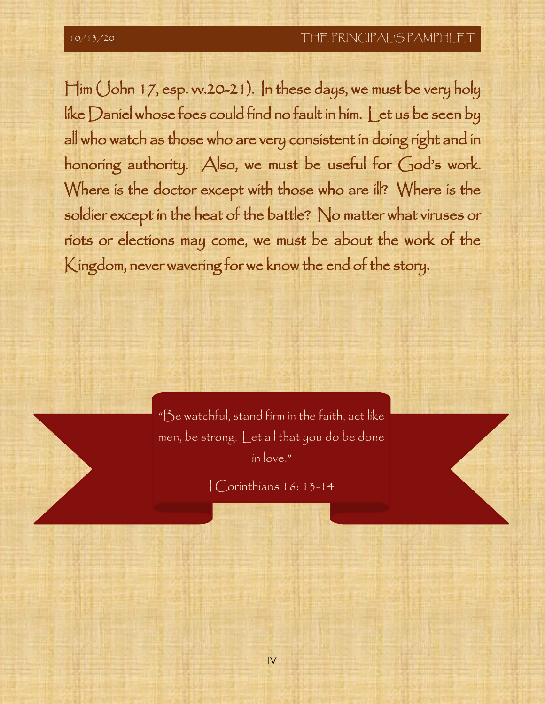Him (John 17, esp. vv.20-21). In these days, we must be very holy like Daniel whose foes could find no fault in him. Let us be seen by all who watch as those who are very consistent in doing right and in honoring authority. Also, we must be useful for God's work. Where is the doctor except with those who are ill? Where is the soldier except in the heat of the battle? No matter what viruses or riots or elections may come, we must be about the work of the Kingdom, never wavering for we know the end of the story.

> "Be watchful, stand firm in the faith, act like men, be strong. Let all that you do be done in love."

> > I Corinthians 16: 13-14

IV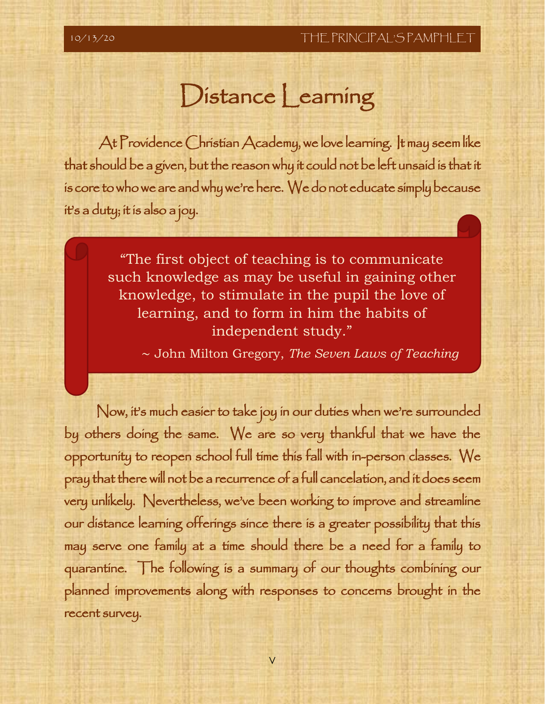֖֖֖֖֖֖֧ׅ֖֖֧֧֖֚֚֚֚֚֚֚֚֚֚֚֚֚֚֚֚֚֚֚֚֚֚֚֬֝֬֝֓֬֓֡֬֓֬֓֡֬֬֓֬֓֞֓֬֓֡֬֓֞֬֞֓֬֓֞֬֝֓֞֬֝֬֝֬֓֞֬֝֬

l

### Distance Learning

 At Providence Christian Academy, we love learning. It may seem like that should be a given, but the reason why it could not be left unsaid is that it is core to who we are and why we're here. We do not educate simply because it's a duty; it is also a joy.

> "The first object of teaching is to communicate such knowledge as may be useful in gaining other knowledge, to stimulate in the pupil the love of learning, and to form in him the habits of independent study."

∼ John Milton Gregory, *The Seven Laws of Teaching* 

Now, it's much easier to take joy in our duties when we're surrounded by others doing the same. We are so very thankful that we have the opportunity to reopen school full time this fall with in-person classes. We pray that there will not be a recurrence of a full cancelation, and it does seem very unlikely. Nevertheless, we've been working to improve and streamline our distance learning offerings since there is a greater possibility that this may serve one family at a time should there be a need for a family to quarantine. The following is a summary of our thoughts combining our planned improvements along with responses to concerns brought in the recent survey.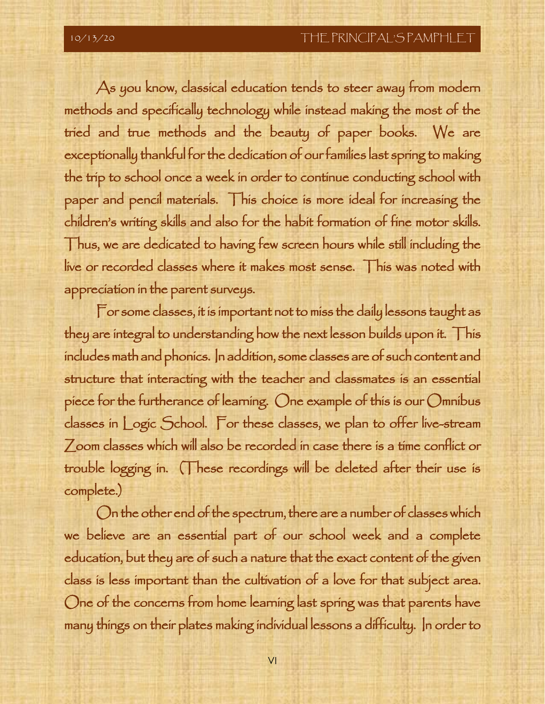As you know, classical education tends to steer away from modern methods and specifically technology while instead making the most of the tried and true methods and the beauty of paper books. We are exceptionally thankful for the dedication of our families last spring to making the trip to school once a week in order to continue conducting school with paper and pencil materials. This choice is more ideal for increasing the children's writing skills and also for the habit formation of fine motor skills. Thus, we are dedicated to having few screen hours while still including the live or recorded classes where it makes most sense. This was noted with appreciation in the parent surveys.

For some classes, it is important not to miss the daily lessons taught as they are integral to understanding how the next lesson builds upon it. This includes math and phonics. In addition, some classes are of such content and structure that interacting with the teacher and classmates is an essential piece for the furtherance of learning. One example of this is our Omnibus classes in Logic School. For these classes, we plan to offer live-stream Zoom classes which will also be recorded in case there is a time conflict or trouble logging in. (These recordings will be deleted after their use is complete.)

On the other end of the spectrum, there are a number of classes which we believe are an essential part of our school week and a complete education, but they are of such a nature that the exact content of the given class is less important than the cultivation of a love for that subject area. One of the concerns from home learning last spring was that parents have many things on their plates making individual lessons a difficulty. In order to

VI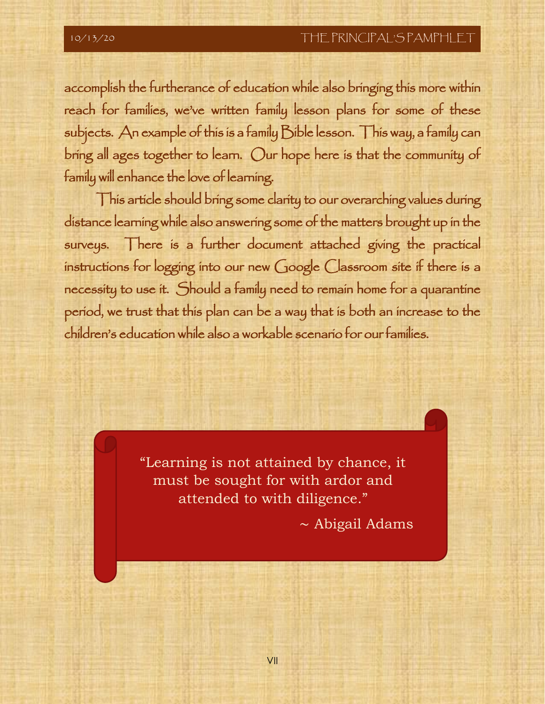accomplish the furtherance of education while also bringing this more within reach for families, we've written family lesson plans for some of these subjects. An example of this is a family Bible lesson. This way, a family can bring all ages together to learn. Our hope here is that the community of family will enhance the love of learning.

This article should bring some clarity to our overarching values during distance learning while also answering some of the matters brought up in the surveys. There is a further document attached giving the practical instructions for logging into our new Google Classroom site if there is a necessity to use it. Should a family need to remain home for a quarantine period, we trust that this plan can be a way that is both an increase to the children's education while also a workable scenario for our families.

> "Learning is not attained by chance, it must be sought for with ardor and attended to with diligence."

> > ∼ Abigail Adams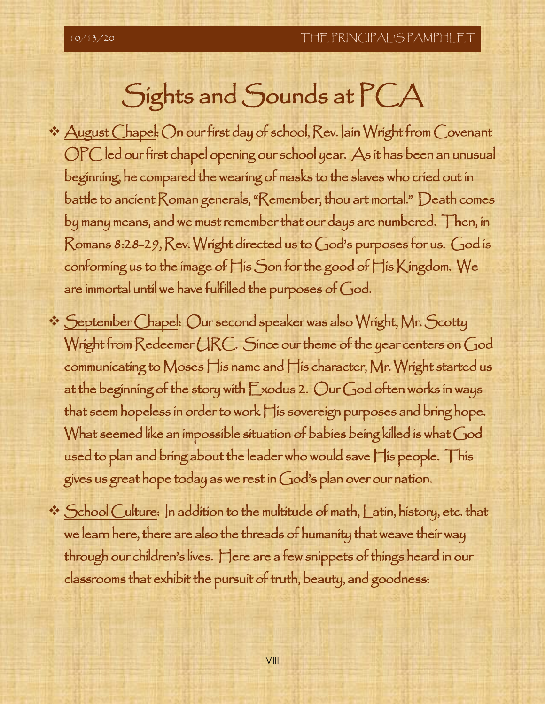# Sights and Sounds at PCA

- ❖ August Chapel: On our first day of school, Rev. Iain Wright from Covenant OPC led our first chapel opening our school year. As it has been an unusual beginning, he compared the wearing of masks to the slaves who cried out in battle to ancient Roman generals, "Remember, thou art mortal." Death comes by many means, and we must remember that our days are numbered. Then, in Romans 8:28-29, Rev. Wright directed us to God's purposes for us. God is conforming us to the image of His Son for the good of His Kingdom. We are immortal until we have fulfilled the purposes of God.
- ❖ September Chapel: Our second speaker was also Wright, Mr. Scotty Wright from Redeemer URC. Since our theme of the year centers on God communicating to Moses His name and His character, Mr. Wright started us at the beginning of the story with Exodus 2. Our God often works in ways that seem hopeless in order to work His sovereign purposes and bring hope. What seemed like an impossible situation of babies being killed is what God used to plan and bring about the leader who would save His people. This gives us great hope today as we rest in God's plan over our nation.
- ❖ School Culture: In addition to the multitude of math, Latin, history, etc. that we learn here, there are also the threads of humanity that weave their way through our children's lives. Here are a few snippets of things heard in our classrooms that exhibit the pursuit of truth, beauty, and goodness: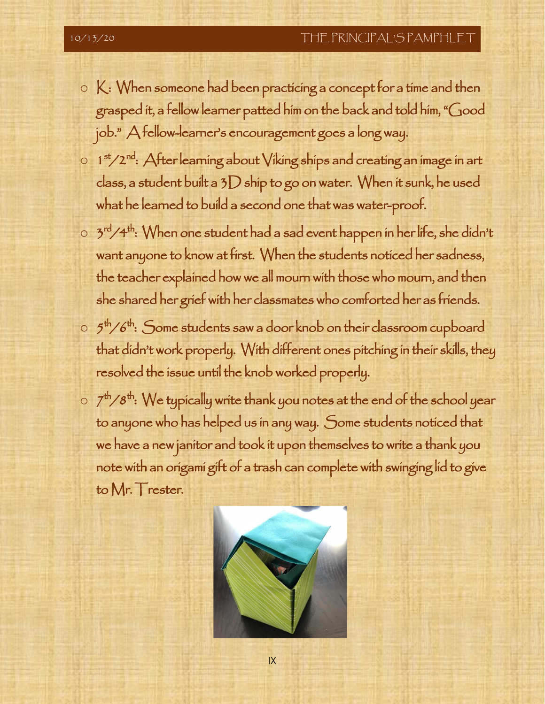- $\circ$   $K$ : When someone had been practicing a concept for a time and then grasped it, a fellow learner patted him on the back and told him, "Good job." A fellow-learner's encouragement goes a long way.
- $\circ$  1st/2<sup>nd</sup>: After learning about Viking ships and creating an image in art class, a student built a  $3D$  ship to go on water. When it sunk, he used what he learned to build a second one that was water-proof.
- $\circ$  3rd/4<sup>th</sup>: When one student had a sad event happen in her life, she didn't want anyone to know at first. When the students noticed her sadness, the teacher explained how we all mourn with those who mourn, and then she shared her grief with her classmates who comforted her as friends.
- $\circ$  5<sup>th</sup>/6<sup>th</sup>: Some students saw a door knob on their classroom cupboard that didn't work properly. With different ones pitching in their skills, they resolved the issue until the knob worked properly.
- $\circ$   $7^{\text{th}}/8^{\text{th}}$ : We typically write thank you notes at the end of the school year to anyone who has helped us in any way. Some students noticed that we have a new janitor and took it upon themselves to write a thank you note with an origami gift of a trash can complete with swinging lid to give to Mr. Trester.



IX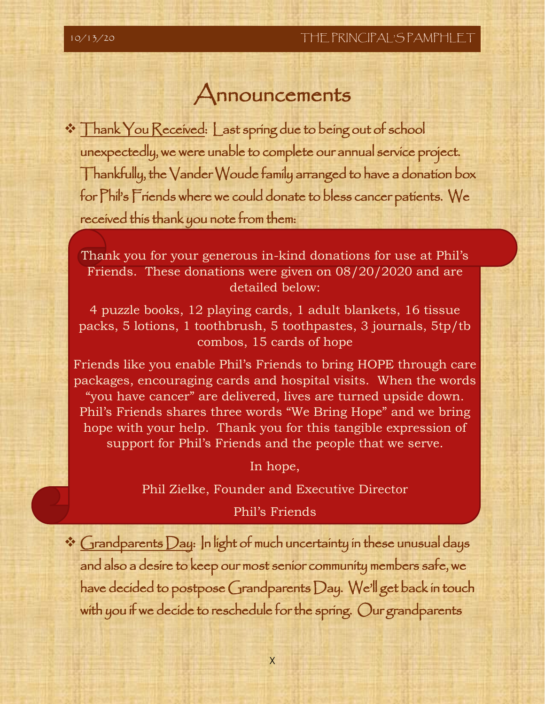i

#### Announcements

❖ Thank You Received: Last spring due to being out of school unexpectedly, we were unable to complete our annual service project. Thankfully, the Vander Woude family arranged to have a donation box for Phil's Friends where we could donate to bless cancer patients. We received this thank you note from them:

Thank you for your generous in-kind donations for use at Phil's Friends. These donations were given on 08/20/2020 and are detailed below:

4 puzzle books, 12 playing cards, 1 adult blankets, 16 tissue packs, 5 lotions, 1 toothbrush, 5 toothpastes, 3 journals, 5tp/tb combos, 15 cards of hope

Friends like you enable Phil's Friends to bring HOPE through care packages, encouraging cards and hospital visits. When the words "you have cancer" are delivered, lives are turned upside down. Phil's Friends shares three words "We Bring Hope" and we bring hope with your help. Thank you for this tangible expression of support for Phil's Friends and the people that we serve.

In hope,

Phil Zielke, Founder and Executive Director

#### Phil's Friends

❖ Grandparents Day: In light of much uncertainty in these unusual days and also a desire to keep our most senior community members safe, we have decided to postpose Grandparents Day. We'll get back in touch with you if we decide to reschedule for the spring. Our grandparents